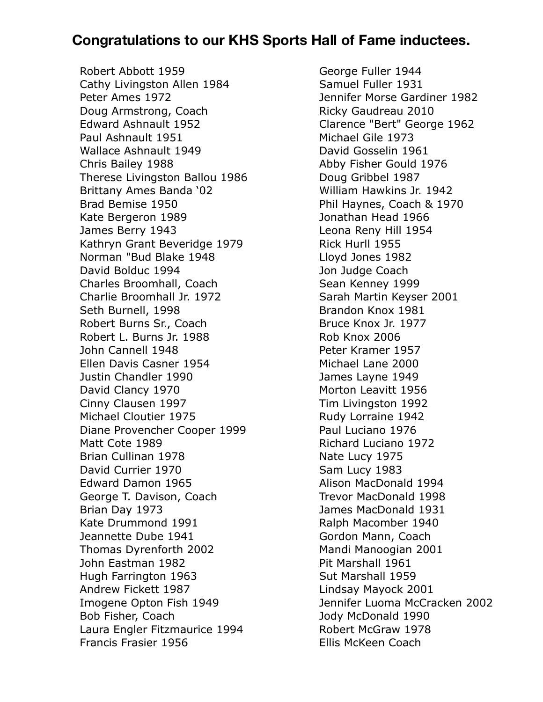## **Congratulations to our KHS Sports Hall of Fame inductees.**

Robert Abbott 1959 Cathy Livingston Allen 1984 Peter Ames 1972 Doug Armstrong, Coach Edward Ashnault 1952 Paul Ashnault 1951 Wallace Ashnault 1949 Chris Bailey 1988 Therese Livingston Ballou 1986 Brittany Ames Banda '02 Brad Bemise 1950 Kate Bergeron 1989 James Berry 1943 Kathryn Grant Beveridge 1979 Norman "Bud Blake 1948 David Bolduc 1994 Charles Broomhall, Coach Charlie Broomhall Jr. 1972 Seth Burnell, 1998 Robert Burns Sr., Coach Robert L. Burns Jr. 1988 John Cannell 1948 Ellen Davis Casner 1954 Justin Chandler 1990 David Clancy 1970 Cinny Clausen 1997 Michael Cloutier 1975 Diane Provencher Cooper 1999 Matt Cote 1989 Brian Cullinan 1978 David Currier 1970 Edward Damon 1965 George T. Davison, Coach Brian Day 1973 Kate Drummond 1991 Jeannette Dube 1941 Thomas Dyrenforth 2002 John Eastman 1982 Hugh Farrington 1963 Andrew Fickett 1987 Imogene Opton Fish 1949 Bob Fisher, Coach Laura Engler Fitzmaurice 1994 Francis Frasier 1956

George Fuller 1944 Samuel Fuller 1931 Jennifer Morse Gardiner 1982 Ricky Gaudreau 2010 Clarence "Bert" George 1962 Michael Gile 1973 David Gosselin 1961 Abby Fisher Gould 1976 Doug Gribbel 1987 William Hawkins Jr. 1942 Phil Haynes, Coach & 1970 Jonathan Head 1966 Leona Reny Hill 1954 Rick Hurll 1955 Lloyd Jones 1982 Jon Judge Coach Sean Kenney 1999 Sarah Martin Keyser 2001 Brandon Knox 1981 Bruce Knox Jr. 1977 Rob Knox 2006 Peter Kramer 1957 Michael Lane 2000 James Layne 1949 Morton Leavitt 1956 Tim Livingston 1992 Rudy Lorraine 1942 Paul Luciano 1976 Richard Luciano 1972 Nate Lucy 1975 Sam Lucy 1983 Alison MacDonald 1994 Trevor MacDonald 1998 James MacDonald 1931 Ralph Macomber 1940 Gordon Mann, Coach Mandi Manoogian 2001 Pit Marshall 1961 Sut Marshall 1959 Lindsay Mayock 2001 Jennifer Luoma McCracken 2002 Jody McDonald 1990 Robert McGraw 1978 Ellis McKeen Coach